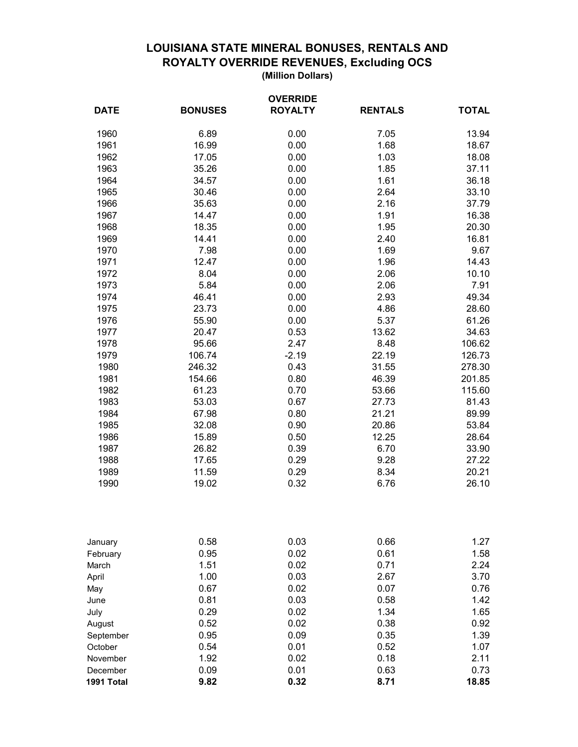## **LOUISIANA STATE MINERAL BONUSES, RENTALS AND ROYALTY OVERRIDE REVENUES, Excluding OCS**

**(Million Dollars)**

| <b>OVERRIDE</b>      |                |                |                |                |
|----------------------|----------------|----------------|----------------|----------------|
| <b>DATE</b>          | <b>BONUSES</b> | <b>ROYALTY</b> | <b>RENTALS</b> | <b>TOTAL</b>   |
| 1960                 | 6.89           | 0.00           | 7.05           | 13.94          |
| 1961                 | 16.99          | 0.00           | 1.68           | 18.67          |
| 1962                 | 17.05          | 0.00           | 1.03           | 18.08          |
| 1963                 | 35.26          | 0.00           | 1.85           | 37.11          |
| 1964                 | 34.57          | 0.00           | 1.61           | 36.18          |
| 1965                 | 30.46          | 0.00           | 2.64           | 33.10          |
| 1966                 | 35.63          | 0.00           | 2.16           | 37.79          |
| 1967                 | 14.47          | 0.00           | 1.91           | 16.38          |
| 1968                 | 18.35          | 0.00           | 1.95           | 20.30          |
| 1969                 | 14.41          | 0.00           | 2.40           | 16.81          |
| 1970                 | 7.98           | 0.00           | 1.69           | 9.67           |
| 1971                 | 12.47          | 0.00           | 1.96           | 14.43          |
| 1972                 | 8.04           | 0.00           | 2.06           | 10.10          |
| 1973                 | 5.84           | 0.00           | 2.06           | 7.91           |
| 1974                 | 46.41          | 0.00           | 2.93           | 49.34          |
| 1975                 | 23.73          | 0.00           | 4.86           | 28.60          |
| 1976                 | 55.90          | 0.00           | 5.37           | 61.26          |
| 1977                 | 20.47          | 0.53           | 13.62          | 34.63          |
| 1978                 | 95.66          | 2.47           | 8.48           | 106.62         |
| 1979                 | 106.74         | $-2.19$        | 22.19          | 126.73         |
| 1980                 | 246.32         | 0.43           | 31.55          | 278.30         |
| 1981                 | 154.66         | 0.80           | 46.39          | 201.85         |
| 1982                 | 61.23          | 0.70           | 53.66          | 115.60         |
| 1983                 | 53.03          | 0.67           | 27.73          | 81.43          |
| 1984                 | 67.98          | 0.80           | 21.21          | 89.99          |
| 1985                 | 32.08          | 0.90           | 20.86          | 53.84          |
| 1986                 | 15.89          | 0.50           | 12.25          | 28.64          |
| 1987<br>1988         | 26.82<br>17.65 | 0.39<br>0.29   | 6.70           | 33.90<br>27.22 |
| 1989                 | 11.59          | 0.29           | 9.28<br>8.34   | 20.21          |
| 1990                 | 19.02          | 0.32           | 6.76           | 26.10          |
|                      |                |                |                |                |
| January              | 0.58           | 0.03           | 0.66           | 1.27           |
| February             | 0.95           | 0.02           | 0.61           | 1.58           |
| March                | 1.51           | 0.02           | 0.71           | 2.24           |
| April                | 1.00           | 0.03           | 2.67           | 3.70           |
| May                  | 0.67           | 0.02           | 0.07           | 0.76           |
| June                 | 0.81           | 0.03           | 0.58           | 1.42           |
| July                 | 0.29           | 0.02           | 1.34           | 1.65           |
| August               | 0.52           | 0.02           | 0.38           | 0.92           |
| September            | 0.95           | 0.09           | 0.35           | 1.39           |
| October              | 0.54<br>1.92   | 0.01<br>0.02   | 0.52<br>0.18   | 1.07<br>2.11   |
| November<br>December | 0.09           | 0.01           | 0.63           | 0.73           |
| 1991 Total           | 9.82           | 0.32           | 8.71           | 18.85          |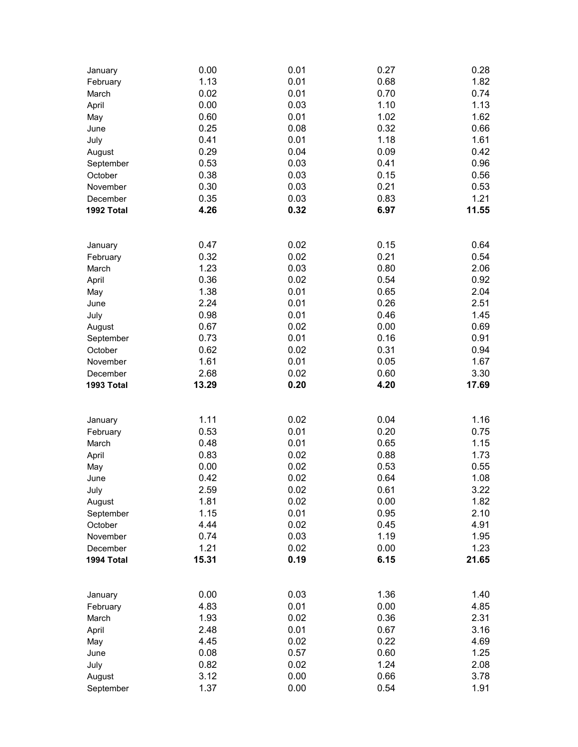| January                | 0.00         | 0.01         | 0.27         | 0.28         |
|------------------------|--------------|--------------|--------------|--------------|
| February               | 1.13         | 0.01         | 0.68         | 1.82         |
| March                  | 0.02         | 0.01         | 0.70         | 0.74         |
| April                  | 0.00         | 0.03         | 1.10         | 1.13         |
| May                    | 0.60         | 0.01         | 1.02         | 1.62         |
| June                   | 0.25         | 0.08         | 0.32         | 0.66         |
| July                   | 0.41         | 0.01         | 1.18         | 1.61         |
| August                 | 0.29         | 0.04         | 0.09         | 0.42         |
| September              | 0.53         | 0.03         | 0.41         | 0.96         |
| October                | 0.38         | 0.03         | 0.15         | 0.56         |
| November               | 0.30         | 0.03         | 0.21         | 0.53         |
|                        | 0.35         | 0.03         | 0.83         | 1.21         |
| December<br>1992 Total | 4.26         | 0.32         | 6.97         | 11.55        |
|                        |              |              |              |              |
| January                | 0.47         | 0.02         | 0.15         | 0.64         |
| February               | 0.32         | 0.02         | 0.21         | 0.54         |
| March                  | 1.23         | 0.03         | 0.80         | 2.06         |
| April                  | 0.36         | 0.02         | 0.54         | 0.92         |
| May                    | 1.38         | 0.01         | 0.65         | 2.04         |
| June                   | 2.24         | 0.01         | 0.26         | 2.51         |
| July                   | 0.98         | 0.01         | 0.46         | 1.45         |
| August                 | 0.67         | 0.02         | 0.00         | 0.69         |
| September              | 0.73         | 0.01         | 0.16         | 0.91         |
| October                | 0.62         | 0.02         | 0.31         | 0.94         |
| November               | 1.61         | 0.01         | 0.05         | 1.67         |
| December               | 2.68         | 0.02         | 0.60         | 3.30         |
| 1993 Total             | 13.29        | 0.20         | 4.20         | 17.69        |
|                        |              |              |              |              |
| January                | 1.11         | 0.02         | 0.04         | 1.16         |
| February               | 0.53         | 0.01         | 0.20         | 0.75         |
| March                  | 0.48         | 0.01         | 0.65         | 1.15         |
| April                  | 0.83         | 0.02         | 0.88         | 1.73         |
| May                    | 0.00         | 0.02         | 0.53         | 0.55         |
| June                   | 0.42         | 0.02         | 0.64         | 1.08         |
| July                   | 2.59         | 0.02         | 0.61         | 3.22         |
| August                 | 1.81         | 0.02         | 0.00         | 1.82         |
| September              | 1.15         | 0.01         | 0.95         | 2.10         |
| October                | 4.44         | 0.02         | 0.45         | 4.91         |
| November               | 0.74         | 0.03         | 1.19         | 1.95         |
| December               | 1.21         | 0.02         | 0.00         | 1.23         |
| 1994 Total             | 15.31        | 0.19         | 6.15         | 21.65        |
|                        |              |              |              |              |
| January                | 0.00         | 0.03         | 1.36         | 1.40         |
| February               | 4.83         | 0.01         | 0.00         | 4.85         |
| March                  | 1.93         | 0.02         | 0.36         | 2.31         |
| April                  |              | 0.01         | 0.67         | 3.16         |
|                        | 2.48         |              |              |              |
| May                    | 4.45         | 0.02         | 0.22         | 4.69         |
| June                   | 0.08         | 0.57         | 0.60         | 1.25         |
| July                   | 0.82         | 0.02         | 1.24         | 2.08         |
| August<br>September    | 3.12<br>1.37 | 0.00<br>0.00 | 0.66<br>0.54 | 3.78<br>1.91 |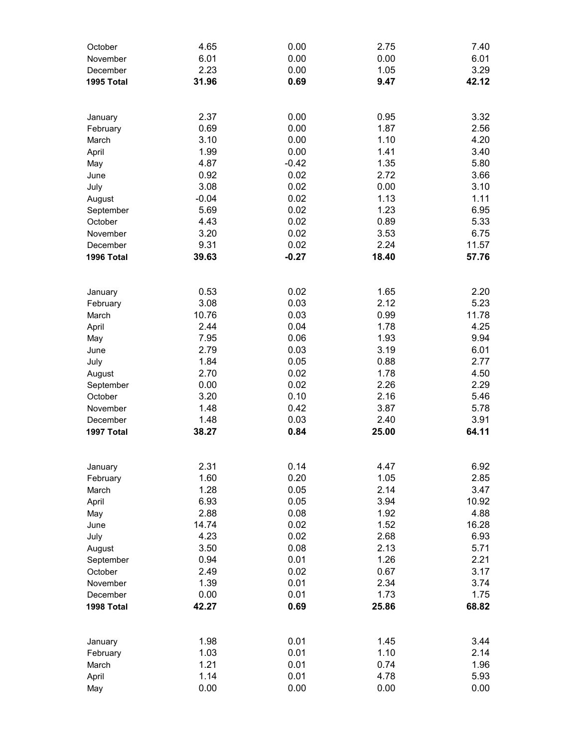| October<br>November    | 4.65<br>6.01  | 0.00<br>0.00    | 2.75<br>0.00  | 7.40<br>6.01  |
|------------------------|---------------|-----------------|---------------|---------------|
| December               | 2.23          | 0.00            | 1.05          | 3.29          |
| 1995 Total             | 31.96         | 0.69            | 9.47          | 42.12         |
|                        |               |                 |               |               |
| January                | 2.37          | 0.00            | 0.95          | 3.32          |
| February               | 0.69          | 0.00            | 1.87          | 2.56          |
| March                  | 3.10          | 0.00            | 1.10          | 4.20          |
| April                  | 1.99          | 0.00            | 1.41          | 3.40          |
| May<br>June            | 4.87<br>0.92  | $-0.42$<br>0.02 | 1.35<br>2.72  | 5.80<br>3.66  |
| July                   | 3.08          | 0.02            | 0.00          | 3.10          |
| August                 | $-0.04$       | 0.02            | 1.13          | 1.11          |
| September              | 5.69          | 0.02            | 1.23          | 6.95          |
| October                | 4.43          | 0.02            | 0.89          | 5.33          |
| November               | 3.20          | 0.02            | 3.53          | 6.75          |
| December               | 9.31          | 0.02            | 2.24          | 11.57         |
| 1996 Total             | 39.63         | $-0.27$         | 18.40         | 57.76         |
| January                | 0.53          | 0.02            | 1.65          | 2.20          |
| February               | 3.08          | 0.03            | 2.12          | 5.23          |
| March                  | 10.76         | 0.03            | 0.99          | 11.78         |
| April                  | 2.44          | 0.04            | 1.78          | 4.25          |
| May                    | 7.95          | 0.06            | 1.93          | 9.94          |
| June                   | 2.79          | 0.03            | 3.19          | 6.01          |
| July                   | 1.84          | 0.05            | 0.88          | 2.77          |
| August                 | 2.70          | 0.02            | 1.78          | 4.50          |
| September              | 0.00          | 0.02            | 2.26          | 2.29          |
| October                | 3.20          | 0.10            | 2.16          | 5.46          |
| November               | 1.48          | 0.42<br>0.03    | 3.87          | 5.78<br>3.91  |
| December<br>1997 Total | 1.48<br>38.27 | 0.84            | 2.40<br>25.00 | 64.11         |
|                        |               |                 |               |               |
| January                | 2.31          | 0.14            | 4.47          | 6.92          |
| February               | 1.60          | 0.20            | 1.05          | 2.85          |
| March                  | 1.28          | 0.05            | 2.14          | 3.47          |
| April                  | 6.93          | 0.05            | 3.94          | 10.92         |
| May<br>June            | 2.88<br>14.74 | 0.08<br>0.02    | 1.92<br>1.52  | 4.88<br>16.28 |
| July                   | 4.23          | 0.02            | 2.68          | 6.93          |
| August                 | 3.50          | 0.08            | 2.13          | 5.71          |
| September              | 0.94          | 0.01            | 1.26          | 2.21          |
| October                | 2.49          | 0.02            | 0.67          | 3.17          |
| November               | 1.39          | 0.01            | 2.34          | 3.74          |
| December               | 0.00          | 0.01            | 1.73          | 1.75          |
| 1998 Total             | 42.27         | 0.69            | 25.86         | 68.82         |
| January                | 1.98          | 0.01            | 1.45          | 3.44          |
| February               | 1.03          | 0.01            | 1.10          | 2.14          |
| March                  | 1.21          | 0.01            | 0.74          | 1.96          |
| April                  | 1.14          | 0.01            | 4.78          | 5.93          |
| May                    | 0.00          | 0.00            | 0.00          | 0.00          |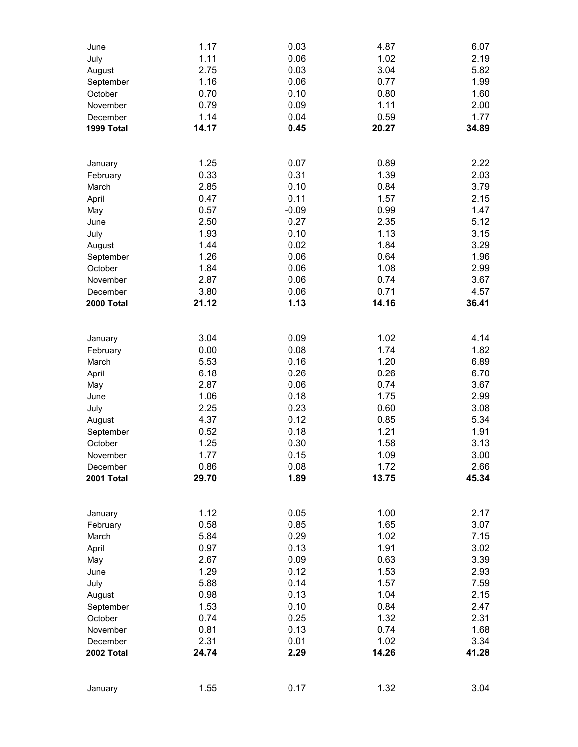| June<br>July           | 1.17<br>1.11  | 0.03<br>0.06 | 4.87<br>1.02  | 6.07<br>2.19  |
|------------------------|---------------|--------------|---------------|---------------|
| August                 | 2.75          | 0.03         | 3.04          | 5.82          |
| September              | 1.16          | 0.06         | 0.77          | 1.99          |
| October                | 0.70          | 0.10         | 0.80          | 1.60          |
| November               | 0.79          | 0.09         | 1.11          | 2.00          |
| December               | 1.14          | 0.04         | 0.59          | 1.77          |
| 1999 Total             | 14.17         | 0.45         | 20.27         | 34.89         |
|                        |               |              |               |               |
| January                | 1.25          | 0.07         | 0.89<br>1.39  | 2.22          |
| February               | 0.33<br>2.85  | 0.31<br>0.10 | 0.84          | 2.03<br>3.79  |
| March<br>April         | 0.47          | 0.11         | 1.57          | 2.15          |
| May                    | 0.57          | $-0.09$      | 0.99          | 1.47          |
| June                   | 2.50          | 0.27         | 2.35          | 5.12          |
| July                   | 1.93          | 0.10         | 1.13          | 3.15          |
| August                 | 1.44          | 0.02         | 1.84          | 3.29          |
| September              | 1.26          | 0.06         | 0.64          | 1.96          |
| October                | 1.84          | 0.06         | 1.08          | 2.99          |
| November               | 2.87          | 0.06         | 0.74          | 3.67          |
| December               | 3.80          | 0.06         | 0.71          | 4.57          |
| 2000 Total             | 21.12         | 1.13         | 14.16         | 36.41         |
| January                | 3.04          | 0.09         | 1.02          | 4.14          |
| February               | 0.00          | 0.08         | 1.74          | 1.82          |
| March                  | 5.53          | 0.16         | 1.20          | 6.89          |
| April                  | 6.18          | 0.26         | 0.26          | 6.70          |
| May                    | 2.87          | 0.06         | 0.74          | 3.67          |
| June                   | 1.06          | 0.18         | 1.75          | 2.99          |
| July                   | 2.25          | 0.23         | 0.60          | 3.08          |
| August                 | 4.37          | 0.12         | 0.85          | 5.34          |
| September              | 0.52          | 0.18         | 1.21          | 1.91          |
| October                | 1.25          | 0.30         | 1.58          | 3.13          |
| November               | 1.77          | 0.15         | 1.09          | 3.00          |
| December<br>2001 Total | 0.86<br>29.70 | 0.08<br>1.89 | 1.72<br>13.75 | 2.66<br>45.34 |
|                        |               |              |               |               |
| January                | 1.12          | 0.05         | 1.00          | 2.17          |
| February               | 0.58          | 0.85         | 1.65          | 3.07          |
| March                  | 5.84<br>0.97  | 0.29<br>0.13 | 1.02<br>1.91  | 7.15          |
| April                  | 2.67          | 0.09         | 0.63          | 3.02<br>3.39  |
| May<br>June            | 1.29          | 0.12         | 1.53          | 2.93          |
| July                   | 5.88          | 0.14         | 1.57          | 7.59          |
| August                 | 0.98          | 0.13         | 1.04          | 2.15          |
| September              | 1.53          | 0.10         | 0.84          | 2.47          |
| October                | 0.74          | 0.25         | 1.32          | 2.31          |
| November               | 0.81          | 0.13         | 0.74          | 1.68          |
| December               | 2.31          | 0.01         | 1.02          | 3.34          |
| 2002 Total             | 24.74         | 2.29         | 14.26         | 41.28         |
| January                | 1.55          | 0.17         | 1.32          | 3.04          |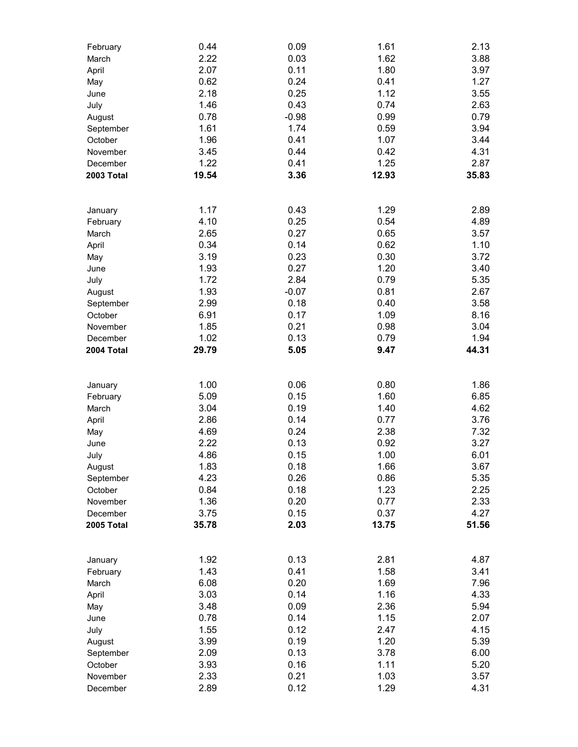| February          | 0.44  | 0.09    | 1.61  | 2.13  |
|-------------------|-------|---------|-------|-------|
| March             | 2.22  | 0.03    | 1.62  | 3.88  |
| April             | 2.07  | 0.11    | 1.80  | 3.97  |
| May               | 0.62  | 0.24    | 0.41  | 1.27  |
| June              | 2.18  | 0.25    | 1.12  | 3.55  |
| July              | 1.46  | 0.43    | 0.74  | 2.63  |
| August            | 0.78  | $-0.98$ | 0.99  | 0.79  |
| September         | 1.61  | 1.74    | 0.59  | 3.94  |
| October           | 1.96  | 0.41    | 1.07  | 3.44  |
| November          | 3.45  | 0.44    | 0.42  | 4.31  |
| December          | 1.22  | 0.41    | 1.25  | 2.87  |
| <b>2003 Total</b> | 19.54 | 3.36    | 12.93 | 35.83 |
|                   |       |         |       |       |
|                   |       |         |       |       |
| January           | 1.17  | 0.43    | 1.29  | 2.89  |
| February          | 4.10  | 0.25    | 0.54  | 4.89  |
| March             | 2.65  | 0.27    | 0.65  | 3.57  |
| April             | 0.34  | 0.14    | 0.62  | 1.10  |
| May               | 3.19  | 0.23    | 0.30  | 3.72  |
| June              | 1.93  | 0.27    | 1.20  | 3.40  |
| July              | 1.72  | 2.84    | 0.79  | 5.35  |
| August            | 1.93  | $-0.07$ | 0.81  | 2.67  |
| September         | 2.99  | 0.18    | 0.40  | 3.58  |
| October           | 6.91  | 0.17    | 1.09  | 8.16  |
| November          | 1.85  | 0.21    | 0.98  | 3.04  |
| December          | 1.02  | 0.13    | 0.79  | 1.94  |
| 2004 Total        | 29.79 | 5.05    | 9.47  | 44.31 |
|                   |       |         |       |       |
| January           | 1.00  | 0.06    | 0.80  | 1.86  |
| February          | 5.09  | 0.15    | 1.60  | 6.85  |
| March             | 3.04  | 0.19    | 1.40  | 4.62  |
|                   | 2.86  | 0.14    | 0.77  | 3.76  |
| April             | 4.69  | 0.24    | 2.38  | 7.32  |
| May               | 2.22  |         |       | 3.27  |
| June              |       | 0.13    | 0.92  |       |
| July              | 4.86  | 0.15    | 1.00  | 6.01  |
| August            | 1.83  | 0.18    | 1.66  | 3.67  |
| September         | 4.23  | 0.26    | 0.86  | 5.35  |
| October           | 0.84  | 0.18    | 1.23  | 2.25  |
| November          | 1.36  | 0.20    | 0.77  | 2.33  |
| December          | 3.75  | 0.15    | 0.37  | 4.27  |
| 2005 Total        | 35.78 | 2.03    | 13.75 | 51.56 |
|                   |       |         |       |       |
| January           | 1.92  | 0.13    | 2.81  | 4.87  |
| February          | 1.43  | 0.41    | 1.58  | 3.41  |
| March             | 6.08  | 0.20    | 1.69  | 7.96  |
| April             | 3.03  | 0.14    | 1.16  | 4.33  |
| May               | 3.48  | 0.09    | 2.36  | 5.94  |
| June              | 0.78  | 0.14    | 1.15  | 2.07  |
| July              | 1.55  | 0.12    | 2.47  | 4.15  |
| August            | 3.99  | 0.19    | 1.20  | 5.39  |
| September         | 2.09  | 0.13    | 3.78  | 6.00  |
| October           | 3.93  | 0.16    | 1.11  | 5.20  |
| November          | 2.33  | 0.21    | 1.03  | 3.57  |
| December          | 2.89  | 0.12    | 1.29  | 4.31  |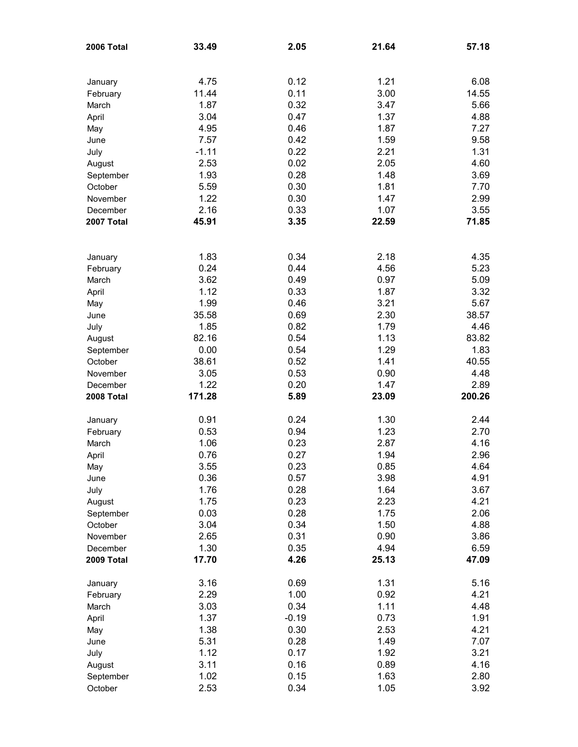| 2006 Total | 33.49   | 2.05    | 21.64 | 57.18  |
|------------|---------|---------|-------|--------|
|            |         |         |       |        |
| January    | 4.75    | 0.12    | 1.21  | 6.08   |
| February   | 11.44   | 0.11    | 3.00  | 14.55  |
| March      | 1.87    | 0.32    | 3.47  | 5.66   |
| April      | 3.04    | 0.47    | 1.37  | 4.88   |
| May        | 4.95    | 0.46    | 1.87  | 7.27   |
| June       | 7.57    | 0.42    | 1.59  | 9.58   |
| July       | $-1.11$ | 0.22    | 2.21  | 1.31   |
| August     | 2.53    | 0.02    | 2.05  | 4.60   |
| September  | 1.93    | 0.28    | 1.48  | 3.69   |
| October    | 5.59    | 0.30    | 1.81  | 7.70   |
| November   | 1.22    | 0.30    | 1.47  | 2.99   |
| December   | 2.16    | 0.33    | 1.07  | 3.55   |
| 2007 Total | 45.91   | 3.35    | 22.59 | 71.85  |
|            |         |         |       |        |
| January    | 1.83    | 0.34    | 2.18  | 4.35   |
| February   | 0.24    | 0.44    | 4.56  | 5.23   |
| March      | 3.62    | 0.49    | 0.97  | 5.09   |
| April      | 1.12    | 0.33    | 1.87  | 3.32   |
| May        | 1.99    | 0.46    | 3.21  | 5.67   |
| June       | 35.58   | 0.69    | 2.30  | 38.57  |
| July       | 1.85    | 0.82    | 1.79  | 4.46   |
| August     | 82.16   | 0.54    | 1.13  | 83.82  |
| September  | 0.00    | 0.54    | 1.29  | 1.83   |
| October    | 38.61   | 0.52    | 1.41  | 40.55  |
| November   | 3.05    | 0.53    | 0.90  | 4.48   |
| December   | 1.22    | 0.20    | 1.47  | 2.89   |
| 2008 Total | 171.28  | 5.89    | 23.09 | 200.26 |
| January    | 0.91    | 0.24    | 1.30  | 2.44   |
| February   | 0.53    | 0.94    | 1.23  | 2.70   |
| March      | 1.06    | 0.23    | 2.87  | 4.16   |
| April      | 0.76    | 0.27    | 1.94  | 2.96   |
| May        | 3.55    | 0.23    | 0.85  | 4.64   |
| June       | 0.36    | 0.57    | 3.98  | 4.91   |
| July       | 1.76    | 0.28    | 1.64  | 3.67   |
| August     | 1.75    | 0.23    | 2.23  | 4.21   |
| September  | 0.03    | 0.28    | 1.75  | 2.06   |
| October    | 3.04    | 0.34    | 1.50  | 4.88   |
| November   | 2.65    | 0.31    | 0.90  | 3.86   |
| December   | 1.30    | 0.35    | 4.94  | 6.59   |
| 2009 Total | 17.70   | 4.26    | 25.13 | 47.09  |
| January    | 3.16    | 0.69    | 1.31  | 5.16   |
| February   | 2.29    | 1.00    | 0.92  | 4.21   |
| March      | 3.03    | 0.34    | 1.11  | 4.48   |
| April      | 1.37    | $-0.19$ | 0.73  | 1.91   |
| May        | 1.38    | 0.30    | 2.53  | 4.21   |
| June       | 5.31    | 0.28    | 1.49  | 7.07   |
| July       | 1.12    | 0.17    | 1.92  | 3.21   |
| August     | 3.11    | 0.16    | 0.89  | 4.16   |
| September  | 1.02    | 0.15    | 1.63  | 2.80   |
| October    | 2.53    | 0.34    | 1.05  | 3.92   |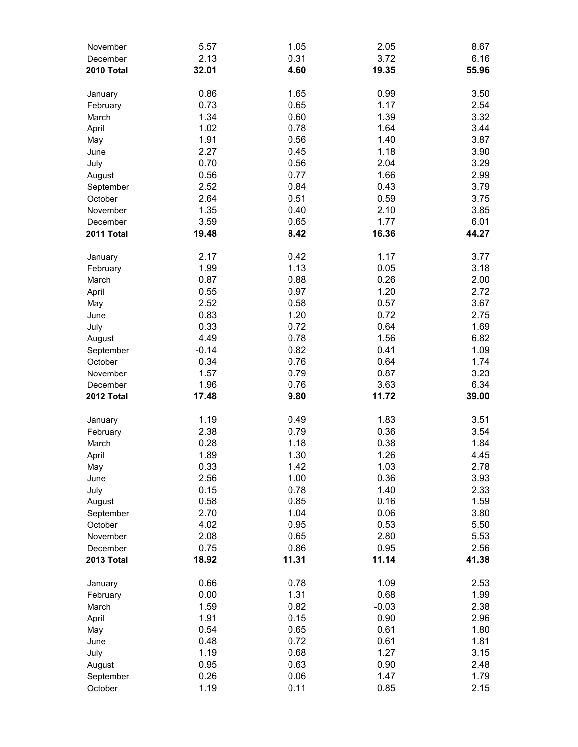| November               | 5.57    | 1.05  | 2.05    | 8.67  |
|------------------------|---------|-------|---------|-------|
| December               | 2.13    | 0.31  | 3.72    | 6.16  |
| 2010 Total             | 32.01   | 4.60  | 19.35   | 55.96 |
|                        |         |       |         |       |
| January                | 0.86    | 1.65  | 0.99    | 3.50  |
| February               | 0.73    | 0.65  | 1.17    | 2.54  |
| March                  | 1.34    | 0.60  | 1.39    | 3.32  |
| April                  | 1.02    | 0.78  | 1.64    | 3.44  |
| May                    | 1.91    | 0.56  | 1.40    | 3.87  |
| June                   | 2.27    | 0.45  | 1.18    | 3.90  |
| July                   | 0.70    | 0.56  | 2.04    | 3.29  |
| August                 | 0.56    | 0.77  | 1.66    | 2.99  |
| September              | 2.52    | 0.84  | 0.43    | 3.79  |
| October                | 2.64    | 0.51  | 0.59    | 3.75  |
| November               | 1.35    | 0.40  | 2.10    | 3.85  |
| December               | 3.59    | 0.65  | 1.77    | 6.01  |
| 2011 Total             | 19.48   | 8.42  | 16.36   | 44.27 |
| January                | 2.17    | 0.42  | 1.17    | 3.77  |
| February               | 1.99    | 1.13  | 0.05    | 3.18  |
| March                  | 0.87    | 0.88  | 0.26    | 2.00  |
| April                  | 0.55    | 0.97  | 1.20    | 2.72  |
| May                    | 2.52    | 0.58  | 0.57    | 3.67  |
| June                   | 0.83    | 1.20  | 0.72    | 2.75  |
| July                   | 0.33    | 0.72  | 0.64    | 1.69  |
| August                 | 4.49    | 0.78  | 1.56    | 6.82  |
| September              | $-0.14$ | 0.82  | 0.41    | 1.09  |
| October                | 0.34    | 0.76  | 0.64    | 1.74  |
| November               | 1.57    | 0.79  | 0.87    | 3.23  |
|                        | 1.96    | 0.76  | 3.63    | 6.34  |
| December<br>2012 Total | 17.48   | 9.80  | 11.72   | 39.00 |
|                        |         |       |         |       |
| January                | 1.19    | 0.49  | 1.83    | 3.51  |
| February               | 2.38    | 0.79  | 0.36    | 3.54  |
| March                  | 0.28    | 1.18  | 0.38    | 1.84  |
| April                  | 1.89    | 1.30  | 1.26    | 4.45  |
| May                    | 0.33    | 1.42  | 1.03    | 2.78  |
| June                   | 2.56    | 1.00  | 0.36    | 3.93  |
| July                   | 0.15    | 0.78  | 1.40    | 2.33  |
| August                 | 0.58    | 0.85  | 0.16    | 1.59  |
| September              | 2.70    | 1.04  | 0.06    | 3.80  |
| October                | 4.02    | 0.95  | 0.53    | 5.50  |
| November               | 2.08    | 0.65  | 2.80    | 5.53  |
| December               | 0.75    | 0.86  | 0.95    | 2.56  |
| 2013 Total             | 18.92   | 11.31 | 11.14   | 41.38 |
| January                | 0.66    | 0.78  | 1.09    | 2.53  |
| February               | 0.00    | 1.31  | 0.68    | 1.99  |
| March                  | 1.59    | 0.82  | $-0.03$ | 2.38  |
| April                  | 1.91    | 0.15  | 0.90    | 2.96  |
| May                    | 0.54    | 0.65  | 0.61    | 1.80  |
| June                   | 0.48    | 0.72  | 0.61    | 1.81  |
| July                   | 1.19    | 0.68  | 1.27    | 3.15  |
| August                 | 0.95    | 0.63  | 0.90    | 2.48  |
| September              | 0.26    | 0.06  | 1.47    | 1.79  |
| October                | 1.19    | 0.11  | 0.85    | 2.15  |
|                        |         |       |         |       |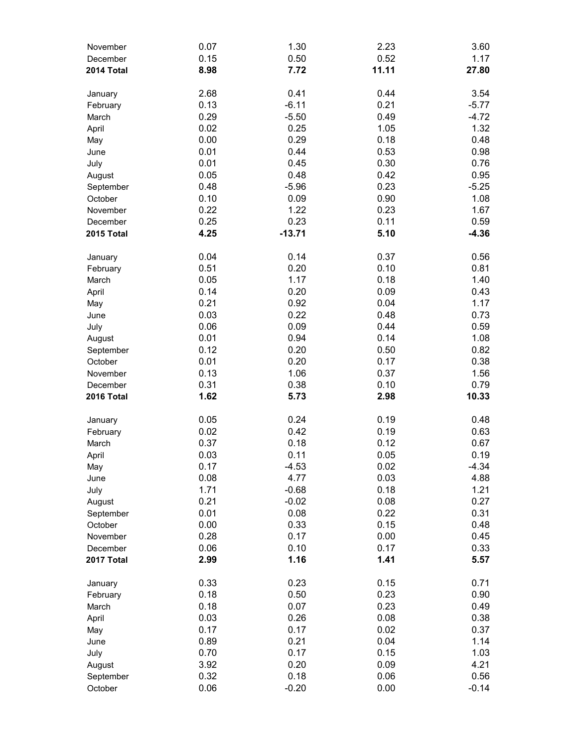| November   | 0.07 | 1.30     | 2.23  | 3.60    |
|------------|------|----------|-------|---------|
| December   | 0.15 | 0.50     | 0.52  | 1.17    |
| 2014 Total | 8.98 | 7.72     | 11.11 | 27.80   |
|            |      |          |       |         |
| January    | 2.68 | 0.41     | 0.44  | 3.54    |
| February   | 0.13 | $-6.11$  | 0.21  | $-5.77$ |
| March      | 0.29 | $-5.50$  | 0.49  | $-4.72$ |
| April      | 0.02 | 0.25     | 1.05  | 1.32    |
| May        | 0.00 | 0.29     | 0.18  | 0.48    |
| June       | 0.01 | 0.44     | 0.53  | 0.98    |
| July       | 0.01 | 0.45     | 0.30  | 0.76    |
| August     | 0.05 | 0.48     | 0.42  | 0.95    |
| September  | 0.48 | $-5.96$  | 0.23  | $-5.25$ |
| October    | 0.10 | 0.09     | 0.90  | 1.08    |
| November   | 0.22 | 1.22     | 0.23  | 1.67    |
| December   | 0.25 | 0.23     | 0.11  | 0.59    |
| 2015 Total | 4.25 | $-13.71$ | 5.10  | $-4.36$ |
| January    | 0.04 | 0.14     | 0.37  | 0.56    |
| February   | 0.51 | 0.20     | 0.10  | 0.81    |
| March      | 0.05 | 1.17     | 0.18  | 1.40    |
| April      | 0.14 | 0.20     | 0.09  | 0.43    |
| May        | 0.21 | 0.92     | 0.04  | 1.17    |
| June       | 0.03 | 0.22     | 0.48  | 0.73    |
| July       | 0.06 | 0.09     | 0.44  | 0.59    |
| August     | 0.01 | 0.94     | 0.14  | 1.08    |
| September  | 0.12 | 0.20     | 0.50  | 0.82    |
| October    | 0.01 | 0.20     | 0.17  | 0.38    |
| November   | 0.13 | 1.06     | 0.37  | 1.56    |
| December   | 0.31 | 0.38     | 0.10  | 0.79    |
| 2016 Total | 1.62 | 5.73     | 2.98  | 10.33   |
|            |      |          |       |         |
| January    | 0.05 | 0.24     | 0.19  | 0.48    |
| February   | 0.02 | 0.42     | 0.19  | 0.63    |
| March      | 0.37 | 0.18     | 0.12  | 0.67    |
| April      | 0.03 | 0.11     | 0.05  | 0.19    |
| May        | 0.17 | $-4.53$  | 0.02  | $-4.34$ |
| June       | 0.08 | 4.77     | 0.03  | 4.88    |
| July       | 1.71 | $-0.68$  | 0.18  | 1.21    |
| August     | 0.21 | $-0.02$  | 0.08  | 0.27    |
| September  | 0.01 | 0.08     | 0.22  | 0.31    |
| October    | 0.00 | 0.33     | 0.15  | 0.48    |
| November   | 0.28 | 0.17     | 0.00  | 0.45    |
| December   | 0.06 | 0.10     | 0.17  | 0.33    |
| 2017 Total | 2.99 | 1.16     | 1.41  | 5.57    |
| January    | 0.33 | 0.23     | 0.15  | 0.71    |
| February   | 0.18 | 0.50     | 0.23  | 0.90    |
| March      | 0.18 | 0.07     | 0.23  | 0.49    |
| April      | 0.03 | 0.26     | 0.08  | 0.38    |
| May        | 0.17 | 0.17     | 0.02  | 0.37    |
| June       | 0.89 | 0.21     | 0.04  | 1.14    |
| July       | 0.70 | 0.17     | 0.15  | 1.03    |
| August     | 3.92 | 0.20     | 0.09  | 4.21    |
| September  | 0.32 | 0.18     | 0.06  | 0.56    |
| October    | 0.06 | $-0.20$  | 0.00  | $-0.14$ |
|            |      |          |       |         |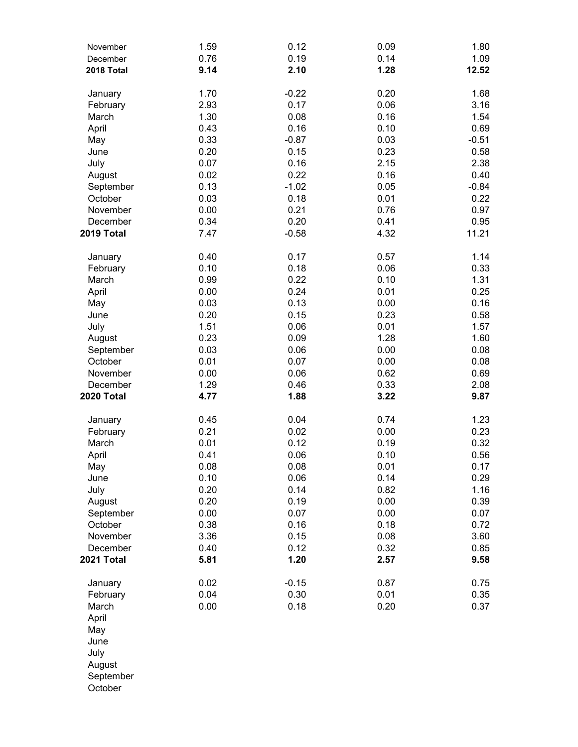| November   | 1.59 | 0.12    | 0.09 | 1.80    |
|------------|------|---------|------|---------|
| December   | 0.76 | 0.19    | 0.14 | 1.09    |
| 2018 Total | 9.14 | 2.10    | 1.28 | 12.52   |
|            |      |         |      |         |
| January    | 1.70 | $-0.22$ | 0.20 | 1.68    |
| February   | 2.93 | 0.17    | 0.06 | 3.16    |
| March      | 1.30 | 0.08    | 0.16 | 1.54    |
| April      | 0.43 | 0.16    | 0.10 | 0.69    |
| May        | 0.33 | $-0.87$ | 0.03 | $-0.51$ |
| June       | 0.20 | 0.15    | 0.23 | 0.58    |
| July       | 0.07 | 0.16    | 2.15 | 2.38    |
| August     | 0.02 | 0.22    | 0.16 | 0.40    |
| September  | 0.13 | $-1.02$ | 0.05 | $-0.84$ |
| October    | 0.03 | 0.18    | 0.01 | 0.22    |
| November   | 0.00 | 0.21    | 0.76 | 0.97    |
| December   | 0.34 | 0.20    | 0.41 | 0.95    |
| 2019 Total | 7.47 | $-0.58$ | 4.32 | 11.21   |
| January    | 0.40 | 0.17    | 0.57 | 1.14    |
| February   | 0.10 | 0.18    | 0.06 | 0.33    |
| March      | 0.99 | 0.22    | 0.10 | 1.31    |
| April      | 0.00 | 0.24    | 0.01 | 0.25    |
| May        | 0.03 | 0.13    | 0.00 | 0.16    |
| June       | 0.20 | 0.15    | 0.23 | 0.58    |
| July       | 1.51 | 0.06    | 0.01 | 1.57    |
| August     | 0.23 | 0.09    | 1.28 | 1.60    |
| September  | 0.03 | 0.06    | 0.00 | 0.08    |
| October    | 0.01 | 0.07    | 0.00 | 0.08    |
|            |      |         |      |         |
| November   | 0.00 | 0.06    | 0.62 | 0.69    |
| December   | 1.29 | 0.46    | 0.33 | 2.08    |
| 2020 Total | 4.77 | 1.88    | 3.22 | 9.87    |
| January    | 0.45 | 0.04    | 0.74 | 1.23    |
| February   | 0.21 | 0.02    | 0.00 | 0.23    |
| March      | 0.01 | 0.12    | 0.19 | 0.32    |
| April      | 0.41 | 0.06    | 0.10 | 0.56    |
| May        | 0.08 | 0.08    | 0.01 | 0.17    |
| June       | 0.10 | 0.06    | 0.14 | 0.29    |
| July       | 0.20 | 0.14    | 0.82 | 1.16    |
| August     | 0.20 | 0.19    | 0.00 | 0.39    |
| September  | 0.00 | 0.07    | 0.00 | 0.07    |
| October    | 0.38 | 0.16    | 0.18 | 0.72    |
| November   | 3.36 | 0.15    | 0.08 | 3.60    |
| December   | 0.40 | 0.12    | 0.32 | 0.85    |
| 2021 Total | 5.81 | 1.20    | 2.57 | 9.58    |
| January    | 0.02 | $-0.15$ | 0.87 | 0.75    |
| February   | 0.04 | 0.30    | 0.01 | 0.35    |
| March      | 0.00 | 0.18    | 0.20 | 0.37    |
| April      |      |         |      |         |
| May        |      |         |      |         |
| June       |      |         |      |         |
| July       |      |         |      |         |
| August     |      |         |      |         |
| September  |      |         |      |         |
| October    |      |         |      |         |
|            |      |         |      |         |